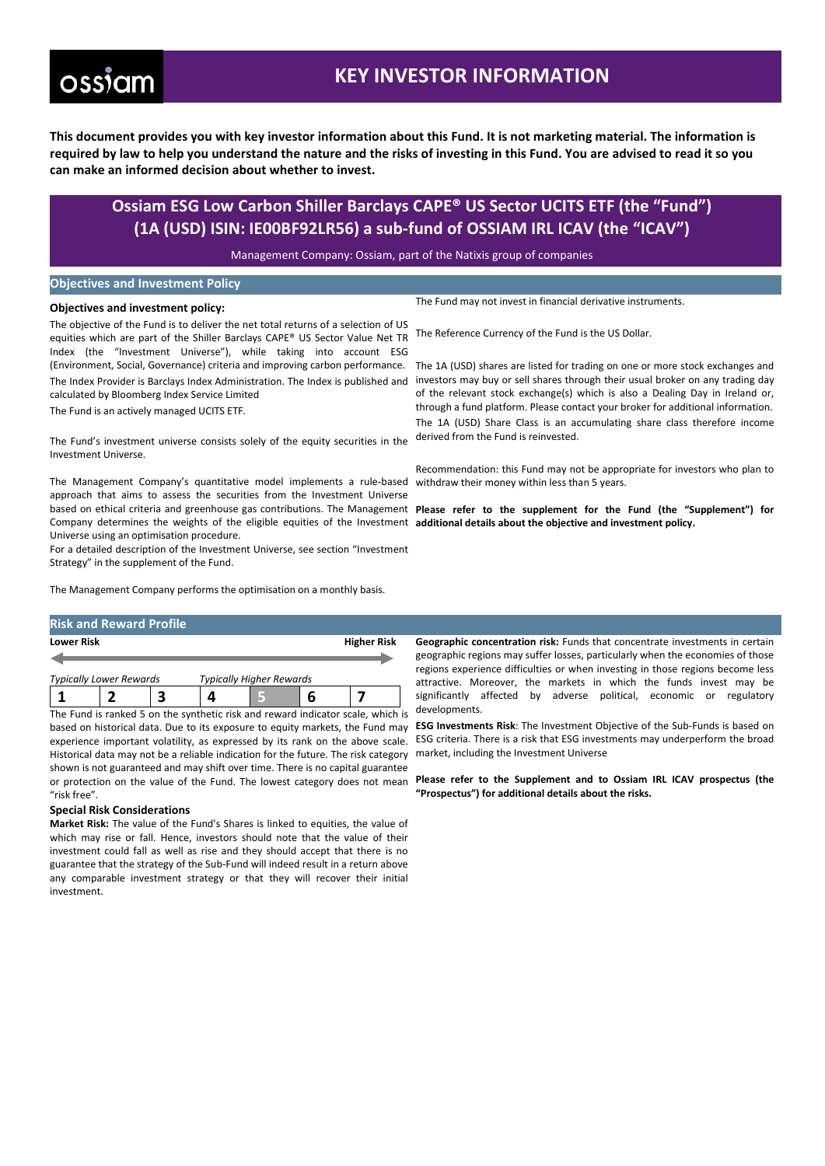# **ossiam**

## **KEY INVESTOR INFORMATION**

**This document provides you with key investor information about this Fund. It is not marketing material. The information is required by law to help you understand the nature and the risks of investing in this Fund. You are advised to read it so you can make an informed decision about whether to invest.**

### **Ossiam ESG Low Carbon Shiller Barclays CAPE® US Sector UCITS ETF (the "Fund") (1A (USD) ISIN: IE00BF92LR56) a sub-fund of OSSIAM IRL ICAV (the "ICAV")**

Management Company: Ossiam, part of the Natixis group of companies

### **Objectives and Investment Policy**

#### **Objectives and investment policy:**

The objective of the Fund is to deliver the net total returns of a selection of US equities which are part of the Shiller Barclays CAPE® US Sector Value Net TR Index (the "Investment Universe"), while taking into account ESG (Environment, Social, Governance) criteria and improving carbon performance. The Index Provider is Barclays Index Administration. The Index is published and calculated by Bloomberg Index Service Limited

The Fund is an actively managed UCITS ETF.

The Fund's investment universe consists solely of the equity securities in the Investment Universe.

The Management Company's quantitative model implements a rule-based approach that aims to assess the securities from the Investment Universe Company determines the weights of the eligible equities of the Investment additional details about the objective and investment policy. Universe using an optimisation procedure.

For a detailed description of the Investment Universe, see section "Investment Strategy" in the supplement of the Fund.

The Management Company performs the optimisation on a monthly basis.

#### **Risk and Reward Profile**

| <b>Lower Risk</b>              |  |  |                                 | <b>Higher Risk</b> |
|--------------------------------|--|--|---------------------------------|--------------------|
| <b>Typically Lower Rewards</b> |  |  | <b>Typically Higher Rewards</b> |                    |
|                                |  |  |                                 |                    |

The Fund is ranked 5 on the synthetic risk and reward indicator scale, which is Historical data may not be a reliable indication for the future. The risk category shown is not guaranteed and may shift over time. There is no capital guarantee "risk free".

### **Special Risk Considerations**

**Market Risk:** The value of the Fund's Shares is linked to equities, the value of which may rise or fall. Hence, investors should note that the value of their investment could fall as well as rise and they should accept that there is no guarantee that the strategy of the Sub-Fund will indeed result in a return above any comparable investment strategy or that they will recover their initial investment.

The Fund may not invest in financial derivative instruments.

The Reference Currency of the Fund is the US Dollar.

The 1A (USD) shares are listed for trading on one or more stock exchanges and investors may buy or sell shares through their usual broker on any trading day of the relevant stock exchange(s) which is also a Dealing Day in Ireland or, through a fund platform. Please contact your broker for additional information.

The 1A (USD) Share Class is an accumulating share class therefore income derived from the Fund is reinvested.

Recommendation: this Fund may not be appropriate for investors who plan to withdraw their money within less than 5 years.

based on ethical criteria and greenhouse gas contributions. The Management **Please refer to the supplement for the Fund (the "Supplement") for** 

**Geographic concentration risk:** Funds that concentrate investments in certain geographic regions may suffer losses, particularly when the economies of those regions experience difficulties or when investing in those regions become less attractive. Moreover, the markets in which the funds invest may be significantly affected by adverse political, economic or regulatory developments.

based on historical data. Due to its exposure to equity markets, the Fund may ESG Investments Risk: The Investment Objective of the Sub-Funds is based on experience important volatility, as expressed by its rank on the above scale. ESG criteria. There is a risk that ESG investments may underperform the broad market, including the Investment Universe

or protection on the value of the Fund. The lowest category does not mean **Please refer to the Supplement and to Ossiam IRL ICAV prospectus (the "Prospectus") for additional details about the risks.**